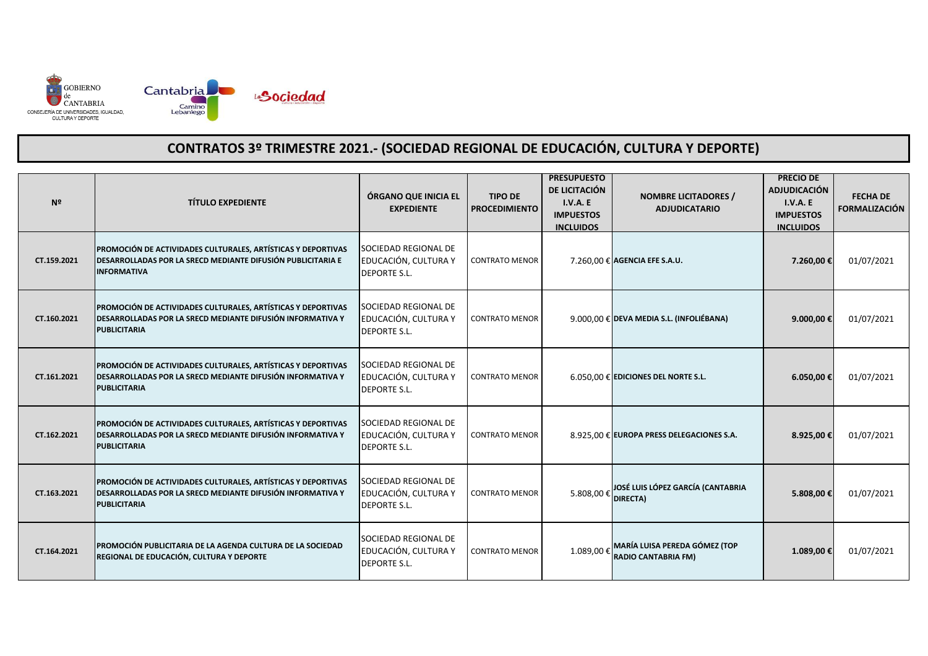

| Nº          | <b>TÍTULO EXPEDIENTE</b>                                                                                                                                 | ÓRGANO QUE INICIA EL<br><b>EXPEDIENTE</b>                           | <b>TIPO DE</b><br><b>PROCEDIMIENTO</b> | <b>PRESUPUESTO</b><br>DE LICITACIÓN<br><b>I.V.A. E</b><br><b>IMPUESTOS</b><br><b>INCLUIDOS</b> | <b>NOMBRE LICITADORES /</b><br><b>ADJUDICATARIO</b>         | <b>PRECIO DE</b><br><b>ADJUDICACIÓN</b><br>I.V.A. E<br><b>IMPUESTOS</b><br><b>INCLUIDOS</b> | <b>FECHA DE</b><br><b>FORMALIZACIÓN</b> |
|-------------|----------------------------------------------------------------------------------------------------------------------------------------------------------|---------------------------------------------------------------------|----------------------------------------|------------------------------------------------------------------------------------------------|-------------------------------------------------------------|---------------------------------------------------------------------------------------------|-----------------------------------------|
| CT.159.2021 | PROMOCIÓN DE ACTIVIDADES CULTURALES, ARTÍSTICAS Y DEPORTIVAS<br>DESARROLLADAS POR LA SRECD MEDIANTE DIFUSIÓN PUBLICITARIA E<br><b>INFORMATIVA</b>        | SOCIEDAD REGIONAL DE<br>EDUCACIÓN, CULTURA Y<br><b>DEPORTE S.L.</b> | <b>CONTRATO MENOR</b>                  |                                                                                                | 7.260,00 € AGENCIA EFE S.A.U.                               | 7.260,00€                                                                                   | 01/07/2021                              |
| CT.160.2021 | PROMOCIÓN DE ACTIVIDADES CULTURALES, ARTÍSTICAS Y DEPORTIVAS<br><b>DESARROLLADAS POR LA SRECD MEDIANTE DIFUSIÓN INFORMATIVA Y</b><br><b>PUBLICITARIA</b> | SOCIEDAD REGIONAL DE<br>EDUCACIÓN, CULTURA Y<br><b>DEPORTE S.L.</b> | <b>CONTRATO MENOR</b>                  |                                                                                                | $9.000,00 \in$ DEVA MEDIA S.L. (INFOLIÉBANA)                | 9.000,00 €                                                                                  | 01/07/2021                              |
| CT.161.2021 | PROMOCIÓN DE ACTIVIDADES CULTURALES, ARTÍSTICAS Y DEPORTIVAS<br>DESARROLLADAS POR LA SRECD MEDIANTE DIFUSIÓN INFORMATIVA Y<br><b>PUBLICITARIA</b>        | SOCIEDAD REGIONAL DE<br>EDUCACIÓN, CULTURA Y<br><b>DEPORTE S.L.</b> | <b>CONTRATO MENOR</b>                  |                                                                                                | $6.050,00 \in$ EDICIONES DEL NORTE S.L.                     | 6.050,00€                                                                                   | 01/07/2021                              |
| CT.162.2021 | PROMOCIÓN DE ACTIVIDADES CULTURALES, ARTÍSTICAS Y DEPORTIVAS<br><b>DESARROLLADAS POR LA SRECD MEDIANTE DIFUSIÓN INFORMATIVA Y</b><br><b>PUBLICITARIA</b> | SOCIEDAD REGIONAL DE<br>EDUCACIÓN, CULTURA Y<br><b>DEPORTE S.L.</b> | <b>CONTRATO MENOR</b>                  |                                                                                                | 8.925,00 € EUROPA PRESS DELEGACIONES S.A.                   | 8.925,00€                                                                                   | 01/07/2021                              |
| CT.163.2021 | PROMOCIÓN DE ACTIVIDADES CULTURALES, ARTÍSTICAS Y DEPORTIVAS<br><b>DESARROLLADAS POR LA SRECD MEDIANTE DIFUSIÓN INFORMATIVA Y</b><br><b>PUBLICITARIA</b> | SOCIEDAD REGIONAL DE<br>EDUCACIÓN, CULTURA Y<br><b>DEPORTE S.L.</b> | <b>CONTRATO MENOR</b>                  | 5.808,00€                                                                                      | JOSÉ LUIS LÓPEZ GARCÍA (CANTABRIA<br>DIRECTA)               | 5.808,00€                                                                                   | 01/07/2021                              |
| CT.164.2021 | PROMOCIÓN PUBLICITARIA DE LA AGENDA CULTURA DE LA SOCIEDAD<br>REGIONAL DE EDUCACIÓN, CULTURA Y DEPORTE                                                   | SOCIEDAD REGIONAL DE<br>EDUCACIÓN, CULTURA Y<br><b>DEPORTE S.L.</b> | <b>CONTRATO MENOR</b>                  | 1.089,00€                                                                                      | MARÍA LUISA PEREDA GÓMEZ (TOP<br><b>RADIO CANTABRIA FM)</b> | 1.089,00€                                                                                   | 01/07/2021                              |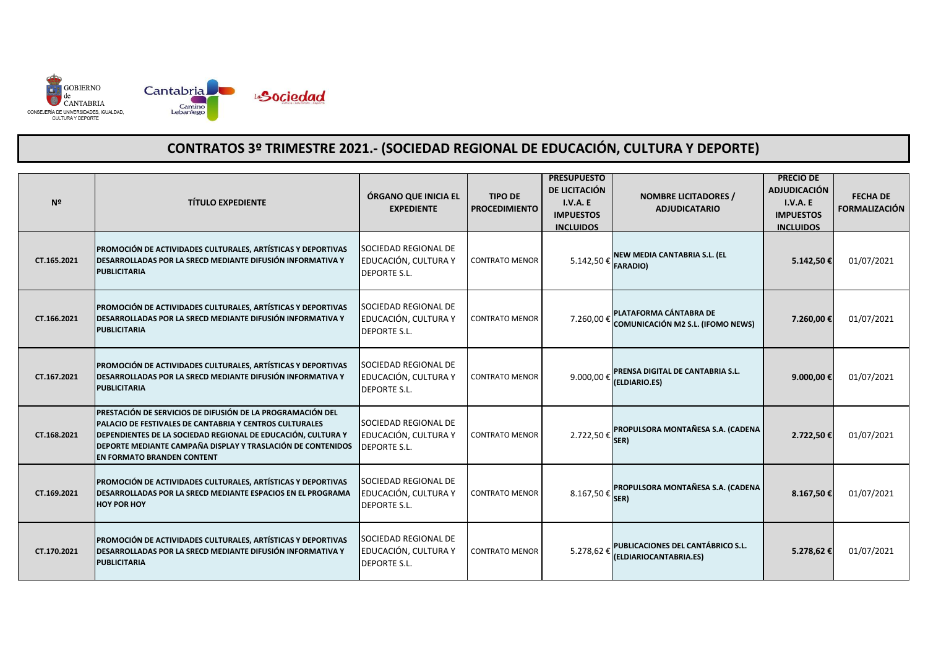

| Nº          | <b>TÍTULO EXPEDIENTE</b>                                                                                                                                                                                                                                                                          | ÓRGANO QUE INICIA EL<br><b>EXPEDIENTE</b>                           | <b>TIPO DE</b><br><b>PROCEDIMIENTO</b> | <b>PRESUPUESTO</b><br>DE LICITACIÓN<br>I.V.A. E<br><b>IMPUESTOS</b><br><b>INCLUIDOS</b> | <b>NOMBRE LICITADORES /</b><br><b>ADJUDICATARIO</b>                | <b>PRECIO DE</b><br><b>ADJUDICACIÓN</b><br><b>I.V.A. E</b><br><b>IMPUESTOS</b><br><b>INCLUIDOS</b> | <b>FECHA DE</b><br><b>FORMALIZACIÓN</b> |
|-------------|---------------------------------------------------------------------------------------------------------------------------------------------------------------------------------------------------------------------------------------------------------------------------------------------------|---------------------------------------------------------------------|----------------------------------------|-----------------------------------------------------------------------------------------|--------------------------------------------------------------------|----------------------------------------------------------------------------------------------------|-----------------------------------------|
| CT.165.2021 | PROMOCIÓN DE ACTIVIDADES CULTURALES, ARTÍSTICAS Y DEPORTIVAS<br><b>DESARROLLADAS POR LA SRECD MEDIANTE DIFUSIÓN INFORMATIVA Y</b><br><b>PUBLICITARIA</b>                                                                                                                                          | SOCIEDAD REGIONAL DE<br>EDUCACIÓN, CULTURA Y<br><b>DEPORTE S.L.</b> | <b>CONTRATO MENOR</b>                  | 5.142,50€                                                                               | NEW MEDIA CANTABRIA S.L. (EL<br><b>FARADIO)</b>                    | 5.142,50€                                                                                          | 01/07/2021                              |
| CT.166.2021 | PROMOCIÓN DE ACTIVIDADES CULTURALES, ARTÍSTICAS Y DEPORTIVAS<br>DESARROLLADAS POR LA SRECD MEDIANTE DIFUSIÓN INFORMATIVA Y<br><b>PUBLICITARIA</b>                                                                                                                                                 | SOCIEDAD REGIONAL DE<br>EDUCACIÓN, CULTURA Y<br><b>DEPORTE S.L.</b> | <b>CONTRATO MENOR</b>                  | 7.260,00€                                                                               | PLATAFORMA CÁNTABRA DE<br><b>COMUNICACIÓN M2 S.L. (IFOMO NEWS)</b> | 7.260,00€                                                                                          | 01/07/2021                              |
| CT.167.2021 | PROMOCIÓN DE ACTIVIDADES CULTURALES, ARTÍSTICAS Y DEPORTIVAS<br><b>DESARROLLADAS POR LA SRECD MEDIANTE DIFUSIÓN INFORMATIVA Y</b><br><b>PUBLICITARIA</b>                                                                                                                                          | SOCIEDAD REGIONAL DE<br>EDUCACIÓN, CULTURA Y<br><b>DEPORTE S.L.</b> | <b>CONTRATO MENOR</b>                  | 9.000,00€                                                                               | PRENSA DIGITAL DE CANTABRIA S.L.<br>(ELDIARIO.ES)                  | 9.000,00€                                                                                          | 01/07/2021                              |
| CT.168.2021 | PRESTACIÓN DE SERVICIOS DE DIFUSIÓN DE LA PROGRAMACIÓN DEL<br><b>IPALACIO DE FESTIVALES DE CANTABRIA Y CENTROS CULTURALES</b><br>DEPENDIENTES DE LA SOCIEDAD REGIONAL DE EDUCACIÓN, CULTURA Y<br><b>DEPORTE MEDIANTE CAMPAÑA DISPLAY Y TRASLACIÓN DE CONTENIDOS</b><br>EN FORMATO BRANDEN CONTENT | SOCIEDAD REGIONAL DE<br>EDUCACIÓN, CULTURA Y<br><b>DEPORTE S.L.</b> | <b>CONTRATO MENOR</b>                  | 2.722,50€                                                                               | PROPULSORA MONTAÑESA S.A. (CADENA<br>SER)                          | 2.722,50€                                                                                          | 01/07/2021                              |
| CT.169.2021 | <b>PROMOCIÓN DE ACTIVIDADES CULTURALES, ARTÍSTICAS Y DEPORTIVAS</b><br>DESARROLLADAS POR LA SRECD MEDIANTE ESPACIOS EN EL PROGRAMA<br><b>HOY POR HOY</b>                                                                                                                                          | SOCIEDAD REGIONAL DE<br>EDUCACIÓN, CULTURA Y<br><b>DEPORTE S.L.</b> | <b>CONTRATO MENOR</b>                  | 8.167,50€                                                                               | PROPULSORA MONTAÑESA S.A. (CADENA<br>SER)                          | 8.167,50€                                                                                          | 01/07/2021                              |
| CT.170.2021 | PROMOCIÓN DE ACTIVIDADES CULTURALES, ARTÍSTICAS Y DEPORTIVAS<br>DESARROLLADAS POR LA SRECD MEDIANTE DIFUSIÓN INFORMATIVA Y<br><b>PUBLICITARIA</b>                                                                                                                                                 | SOCIEDAD REGIONAL DE<br>EDUCACIÓN, CULTURA Y<br><b>DEPORTE S.L.</b> | <b>CONTRATO MENOR</b>                  | 5.278,62€                                                                               | PUBLICACIONES DEL CANTÁBRICO S.L.<br>(ELDIARIOCANTABRIA.ES)        | 5.278,62€                                                                                          | 01/07/2021                              |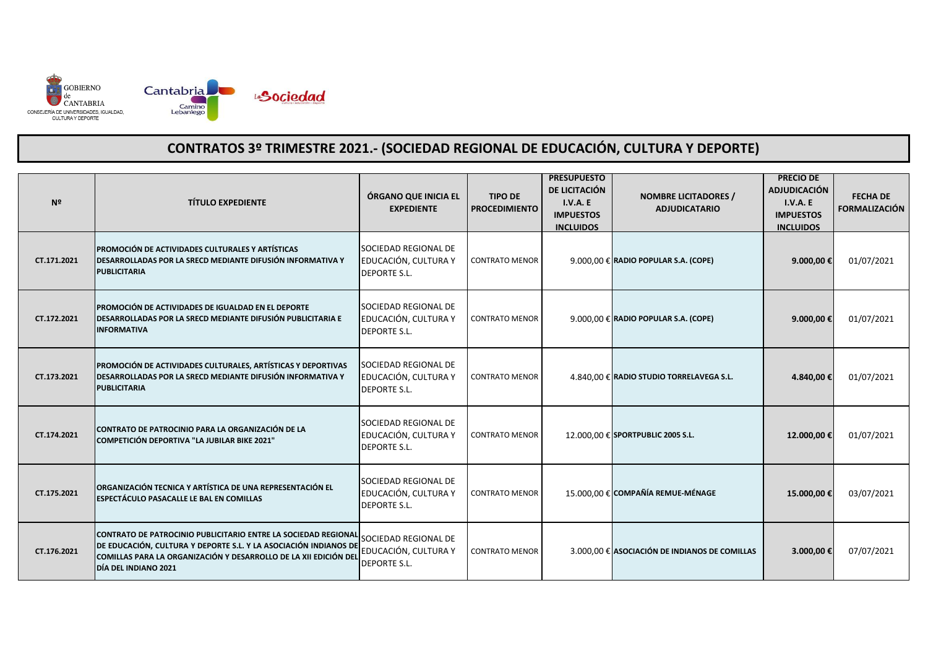

| Nº          | <b>TÍTULO EXPEDIENTE</b>                                                                                                                                                                                                       | ÓRGANO QUE INICIA EL<br><b>EXPEDIENTE</b>                                  | <b>TIPO DE</b><br><b>PROCEDIMIENTO</b> | <b>PRESUPUESTO</b><br>DE LICITACIÓN<br><b>I.V.A. E</b><br><b>IMPUESTOS</b><br><b>INCLUIDOS</b> | <b>NOMBRE LICITADORES /</b><br><b>ADJUDICATARIO</b> | <b>PRECIO DE</b><br><b>ADJUDICACIÓN</b><br><b>I.V.A. E</b><br><b>IMPUESTOS</b><br><b>INCLUIDOS</b> | <b>FECHA DE</b><br><b>FORMALIZACIÓN</b> |
|-------------|--------------------------------------------------------------------------------------------------------------------------------------------------------------------------------------------------------------------------------|----------------------------------------------------------------------------|----------------------------------------|------------------------------------------------------------------------------------------------|-----------------------------------------------------|----------------------------------------------------------------------------------------------------|-----------------------------------------|
| CT.171.2021 | PROMOCIÓN DE ACTIVIDADES CULTURALES Y ARTÍSTICAS<br><b>DESARROLLADAS POR LA SRECD MEDIANTE DIFUSIÓN INFORMATIVA Y</b><br><b>PUBLICITARIA</b>                                                                                   | SOCIEDAD REGIONAL DE<br>EDUCACIÓN, CULTURA Y<br><b>DEPORTE S.L.</b>        | <b>CONTRATO MENOR</b>                  |                                                                                                | $9.000,00 \in$ RADIO POPULAR S.A. (COPE)            | 9.000,00€                                                                                          | 01/07/2021                              |
| CT.172.2021 | PROMOCIÓN DE ACTIVIDADES DE IGUALDAD EN EL DEPORTE<br><b>DESARROLLADAS POR LA SRECD MEDIANTE DIFUSIÓN PUBLICITARIA E</b><br><b>INFORMATIVA</b>                                                                                 | SOCIEDAD REGIONAL DE<br>EDUCACIÓN, CULTURA Y<br><b>DEPORTE S.L.</b>        | <b>CONTRATO MENOR</b>                  |                                                                                                | $9.000,00 \in$ RADIO POPULAR S.A. (COPE)            | 9.000,00€                                                                                          | 01/07/2021                              |
| CT.173.2021 | PROMOCIÓN DE ACTIVIDADES CULTURALES, ARTÍSTICAS Y DEPORTIVAS<br><b>DESARROLLADAS POR LA SRECD MEDIANTE DIFUSIÓN INFORMATIVA Y</b><br><b>PUBLICITARIA</b>                                                                       | SOCIEDAD REGIONAL DE<br>EDUCACIÓN, CULTURA Y<br><b>DEPORTE S.L.</b>        | <b>CONTRATO MENOR</b>                  |                                                                                                | 4.840,00 € RADIO STUDIO TORRELAVEGA S.L.            | 4.840,00 €                                                                                         | 01/07/2021                              |
| CT.174.2021 | CONTRATO DE PATROCINIO PARA LA ORGANIZACIÓN DE LA<br><b>COMPETICIÓN DEPORTIVA "LA JUBILAR BIKE 2021"</b>                                                                                                                       | SOCIEDAD REGIONAL DE<br>EDUCACIÓN, CULTURA Y<br><b>DEPORTE S.L.</b>        | <b>CONTRATO MENOR</b>                  |                                                                                                | 12.000,00 € SPORTPUBLIC 2005 S.L.                   | 12.000,00€                                                                                         | 01/07/2021                              |
| CT.175.2021 | ORGANIZACIÓN TECNICA Y ARTÍSTICA DE UNA REPRESENTACIÓN EL<br>ESPECTÁCULO PASACALLE LE BAL EN COMILLAS                                                                                                                          | <b>SOCIEDAD REGIONAL DE</b><br>EDUCACIÓN, CULTURA Y<br><b>DEPORTE S.L.</b> | <b>CONTRATO MENOR</b>                  |                                                                                                | 15.000,00 € COMPAÑÍA REMUE-MÉNAGE                   | 15.000,00€                                                                                         | 03/07/2021                              |
| CT.176.2021 | CONTRATO DE PATROCINIO PUBLICITARIO ENTRE LA SOCIEDAD REGIONAL<br>DE EDUCACIÓN, CULTURA Y DEPORTE S.L. Y LA ASOCIACIÓN INDIANOS DE<br>COMILLAS PARA LA ORGANIZACIÓN Y DESARROLLO DE LA XII EDICIÓN DEL<br>DÍA DEL INDIANO 2021 | SOCIEDAD REGIONAL DE<br>EDUCACIÓN, CULTURA Y<br><b>DEPORTE S.L.</b>        | <b>CONTRATO MENOR</b>                  |                                                                                                | 3.000,00 € ASOCIACIÓN DE INDIANOS DE COMILLAS       | 3.000,00 €                                                                                         | 07/07/2021                              |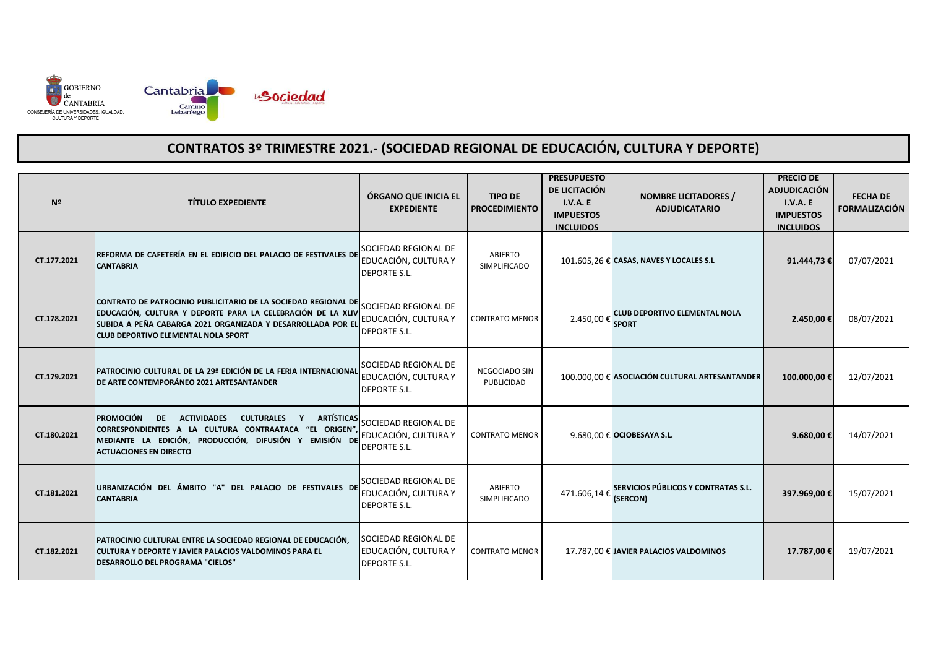

| Nº          | <b>TÍTULO EXPEDIENTE</b>                                                                                                                                                                                                                                           | ÓRGANO QUE INICIA EL<br><b>EXPEDIENTE</b>                           | <b>TIPO DE</b><br><b>PROCEDIMIENTO</b> | <b>PRESUPUESTO</b><br>DE LICITACIÓN<br>I.V.A. E<br><b>IMPUESTOS</b><br><b>INCLUIDOS</b> | <b>NOMBRE LICITADORES /</b><br><b>ADJUDICATARIO</b>  | <b>PRECIO DE</b><br><b>ADJUDICACIÓN</b><br>I.V.A.E<br><b>IMPUESTOS</b><br><b>INCLUIDOS</b> | <b>FECHA DE</b><br><b>FORMALIZACIÓN</b> |
|-------------|--------------------------------------------------------------------------------------------------------------------------------------------------------------------------------------------------------------------------------------------------------------------|---------------------------------------------------------------------|----------------------------------------|-----------------------------------------------------------------------------------------|------------------------------------------------------|--------------------------------------------------------------------------------------------|-----------------------------------------|
| CT.177.2021 | REFORMA DE CAFETERÍA EN EL EDIFICIO DEL PALACIO DE FESTIVALES DE<br><b>CANTABRIA</b>                                                                                                                                                                               | SOCIEDAD REGIONAL DE<br>EDUCACIÓN, CULTURA Y<br><b>DEPORTE S.L.</b> | ABIERTO<br><b>SIMPLIFICADO</b>         |                                                                                         | 101.605,26 € CASAS, NAVES Y LOCALES S.L              | 91.444,73€                                                                                 | 07/07/2021                              |
| CT.178.2021 | CONTRATO DE PATROCINIO PUBLICITARIO DE LA SOCIEDAD REGIONAL DE<br>EDUCACIÓN, CULTURA Y DEPORTE PARA LA CELEBRACIÓN DE LA XLIV<br>SUBIDA A PEÑA CABARGA 2021 ORGANIZADA Y DESARROLLADA POR EL<br><b>CLUB DEPORTIVO ELEMENTAL NOLA SPORT</b>                         | SOCIEDAD REGIONAL DE<br>EDUCACIÓN, CULTURA Y<br><b>DEPORTE S.L.</b> | <b>CONTRATO MENOR</b>                  | 2.450,00€                                                                               | <b>CLUB DEPORTIVO ELEMENTAL NOLA</b><br><b>SPORT</b> | 2.450,00€                                                                                  | 08/07/2021                              |
| CT.179.2021 | PATROCINIO CULTURAL DE LA 29ª EDICIÓN DE LA FERIA INTERNACIONAL<br><b>DE ARTE CONTEMPORÁNEO 2021 ARTESANTANDER</b>                                                                                                                                                 | SOCIEDAD REGIONAL DE<br>EDUCACIÓN, CULTURA Y<br><b>DEPORTE S.L.</b> | NEGOCIADO SIN<br>PUBLICIDAD            |                                                                                         | 100.000,00 € ASOCIACIÓN CULTURAL ARTESANTANDER       | 100.000,00€                                                                                | 12/07/2021                              |
| CT.180.2021 | <b>IPROMOCIÓN</b><br><b>ACTIVIDADES</b><br><b>ARTÍSTICAS</b><br><b>DE</b><br><b>CULTURALES</b><br>$\mathbf{Y}$<br>CORRESPONDIENTES A LA CULTURA CONTRAATACA "EL ORIGEN"<br>MEDIANTE LA EDICIÓN, PRODUCCIÓN, DIFUSIÓN Y EMISIÓN DE<br><b>ACTUACIONES EN DIRECTO</b> | SOCIEDAD REGIONAL DE<br>EDUCACIÓN, CULTURA Y<br><b>DEPORTE S.L.</b> | <b>CONTRATO MENOR</b>                  |                                                                                         | 9.680,00 € OCIOBESAYA S.L.                           | 9.680,00€                                                                                  | 14/07/2021                              |
| CT.181.2021 | URBANIZACIÓN DEL ÁMBITO "A" DEL PALACIO DE FESTIVALES DE<br><b>CANTABRIA</b>                                                                                                                                                                                       | SOCIEDAD REGIONAL DE<br>EDUCACIÓN, CULTURA Y<br><b>DEPORTE S.L.</b> | ABIERTO<br>SIMPLIFICADO                | 471.606,14€                                                                             | SERVICIOS PÚBLICOS Y CONTRATAS S.L.<br>(SERCON)      | 397.969,00€                                                                                | 15/07/2021                              |
| CT.182.2021 | PATROCINIO CULTURAL ENTRE LA SOCIEDAD REGIONAL DE EDUCACIÓN,<br>ICULTURA Y DEPORTE Y JAVIER PALACIOS VALDOMINOS PARA EL<br>DESARROLLO DEL PROGRAMA "CIELOS"                                                                                                        | SOCIEDAD REGIONAL DE<br>EDUCACIÓN, CULTURA Y<br><b>DEPORTE S.L.</b> | <b>CONTRATO MENOR</b>                  |                                                                                         | 17.787,00 € JAVIER PALACIOS VALDOMINOS               | 17.787,00 €                                                                                | 19/07/2021                              |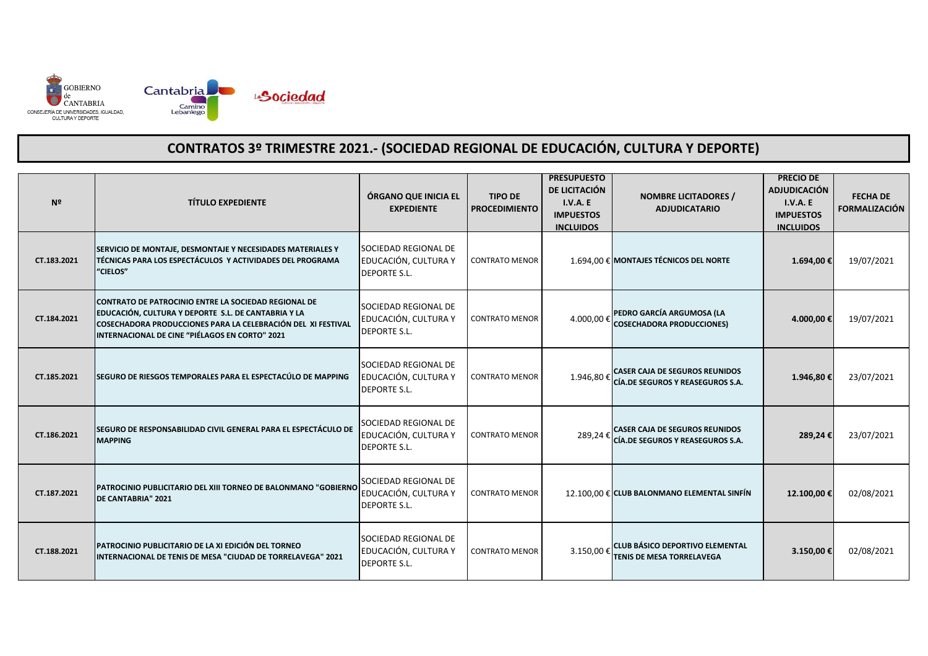

| Nº          | <b>TÍTULO EXPEDIENTE</b>                                                                                                                                                                                                      | ÓRGANO QUE INICIA EL<br><b>EXPEDIENTE</b>                           | <b>TIPO DE</b><br><b>PROCEDIMIENTO</b> | <b>PRESUPUESTO</b><br>DE LICITACIÓN<br>I.V.A. E<br><b>IMPUESTOS</b><br><b>INCLUIDOS</b> | <b>NOMBRE LICITADORES /</b><br><b>ADJUDICATARIO</b>                        | <b>PRECIO DE</b><br><b>ADJUDICACIÓN</b><br>I.V.A. E<br><b>IMPUESTOS</b><br><b>INCLUIDOS</b> | <b>FECHA DE</b><br><b>FORMALIZACIÓN</b> |
|-------------|-------------------------------------------------------------------------------------------------------------------------------------------------------------------------------------------------------------------------------|---------------------------------------------------------------------|----------------------------------------|-----------------------------------------------------------------------------------------|----------------------------------------------------------------------------|---------------------------------------------------------------------------------------------|-----------------------------------------|
| CT.183.2021 | SERVICIO DE MONTAJE, DESMONTAJE Y NECESIDADES MATERIALES Y<br>TÉCNICAS PARA LOS ESPECTÁCULOS Y ACTIVIDADES DEL PROGRAMA<br>"CIELOS"                                                                                           | SOCIEDAD REGIONAL DE<br>EDUCACIÓN, CULTURA Y<br><b>DEPORTE S.L.</b> | <b>CONTRATO MENOR</b>                  |                                                                                         | 1.694,00 € MONTAJES TÉCNICOS DEL NORTE                                     | 1.694,00€                                                                                   | 19/07/2021                              |
| CT.184.2021 | CONTRATO DE PATROCINIO ENTRE LA SOCIEDAD REGIONAL DE<br>EDUCACIÓN, CULTURA Y DEPORTE S.L. DE CANTABRIA Y LA<br>COSECHADORA PRODUCCIONES PARA LA CELEBRACIÓN DEL XI FESTIVAL<br>INTERNACIONAL DE CINE "PIÉLAGOS EN CORTO" 2021 | SOCIEDAD REGIONAL DE<br>EDUCACIÓN, CULTURA Y<br><b>DEPORTE S.L.</b> | <b>CONTRATO MENOR</b>                  | 4.000,00€                                                                               | PEDRO GARCÍA ARGUMOSA (LA<br><b>COSECHADORA PRODUCCIONES)</b>              | 4.000,00 €                                                                                  | 19/07/2021                              |
| CT.185.2021 | SEGURO DE RIESGOS TEMPORALES PARA EL ESPECTACÚLO DE MAPPING                                                                                                                                                                   | SOCIEDAD REGIONAL DE<br>EDUCACIÓN, CULTURA Y<br><b>DEPORTE S.L.</b> | <b>CONTRATO MENOR</b>                  | 1.946,80€                                                                               | <b>CASER CAJA DE SEGUROS REUNIDOS</b><br>CÍA.DE SEGUROS Y REASEGUROS S.A.  | 1.946,80€                                                                                   | 23/07/2021                              |
| CT.186.2021 | SEGURO DE RESPONSABILIDAD CIVIL GENERAL PARA EL ESPECTÁCULO DE<br><b>MAPPING</b>                                                                                                                                              | SOCIEDAD REGIONAL DE<br>EDUCACIÓN, CULTURA Y<br><b>DEPORTE S.L.</b> | <b>CONTRATO MENOR</b>                  | 289,24€                                                                                 | <b>CASER CAJA DE SEGUROS REUNIDOS</b><br>CÍA.DE SEGUROS Y REASEGUROS S.A.  | 289,24€                                                                                     | 23/07/2021                              |
| CT.187.2021 | PATROCINIO PUBLICITARIO DEL XIII TORNEO DE BALONMANO "GOBIERNO<br>DE CANTABRIA" 2021                                                                                                                                          | SOCIEDAD REGIONAL DE<br>EDUCACIÓN, CULTURA Y<br><b>DEPORTE S.L.</b> | <b>CONTRATO MENOR</b>                  |                                                                                         | 12.100,00 € CLUB BALONMANO ELEMENTAL SINFÍN                                | 12.100,00€                                                                                  | 02/08/2021                              |
| CT.188.2021 | PATROCINIO PUBLICITARIO DE LA XI EDICIÓN DEL TORNEO<br>INTERNACIONAL DE TENIS DE MESA "CIUDAD DE TORRELAVEGA" 2021                                                                                                            | SOCIEDAD REGIONAL DE<br>EDUCACIÓN, CULTURA Y<br><b>DEPORTE S.L.</b> | <b>CONTRATO MENOR</b>                  | 3.150.00€                                                                               | <b>CLUB BÁSICO DEPORTIVO ELEMENTAL</b><br><b>TENIS DE MESA TORRELAVEGA</b> | 3.150,00 €                                                                                  | 02/08/2021                              |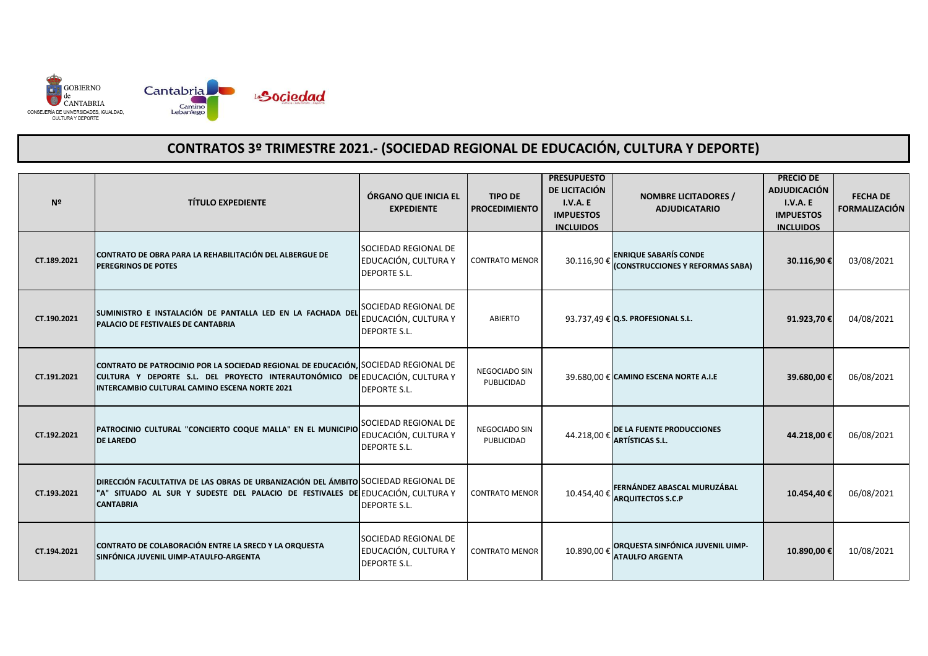

| N <sup>2</sup> | <b>TÍTULO EXPEDIENTE</b>                                                                                                                                                                                           | ÓRGANO QUE INICIA EL<br><b>EXPEDIENTE</b>                           | <b>TIPO DE</b><br><b>PROCEDIMIENTO</b>    | <b>PRESUPUESTO</b><br>DE LICITACIÓN<br><b>I.V.A. E</b><br><b>IMPUESTOS</b><br><b>INCLUIDOS</b> | <b>NOMBRE LICITADORES /</b><br><b>ADJUDICATARIO</b>              | <b>PRECIO DE</b><br><b>ADJUDICACIÓN</b><br>I.V.A. E<br><b>IMPUESTOS</b><br><b>INCLUIDOS</b> | <b>FECHA DE</b><br><b>FORMALIZACIÓN</b> |
|----------------|--------------------------------------------------------------------------------------------------------------------------------------------------------------------------------------------------------------------|---------------------------------------------------------------------|-------------------------------------------|------------------------------------------------------------------------------------------------|------------------------------------------------------------------|---------------------------------------------------------------------------------------------|-----------------------------------------|
| CT.189.2021    | CONTRATO DE OBRA PARA LA REHABILITACIÓN DEL ALBERGUE DE<br>PEREGRINOS DE POTES                                                                                                                                     | SOCIEDAD REGIONAL DE<br>EDUCACIÓN, CULTURA Y<br><b>DEPORTE S.L.</b> | <b>CONTRATO MENOR</b>                     | 30.116,90€                                                                                     | <b>ENRIQUE SABARÍS CONDE</b><br>(CONSTRUCCIONES Y REFORMAS SABA) | 30.116,90€                                                                                  | 03/08/2021                              |
| CT.190.2021    | SUMINISTRO E INSTALACIÓN DE PANTALLA LED EN LA FACHADA DEL<br>PALACIO DE FESTIVALES DE CANTABRIA                                                                                                                   | SOCIEDAD REGIONAL DE<br>EDUCACIÓN, CULTURA Y<br><b>DEPORTE S.L.</b> | <b>ABIERTO</b>                            |                                                                                                | 93.737,49 € Q.S. PROFESIONAL S.L.                                | 91.923,70€                                                                                  | 04/08/2021                              |
| CT.191.2021    | CONTRATO DE PATROCINIO POR LA SOCIEDAD REGIONAL DE EDUCACIÓN, SOCIEDAD REGIONAL DE<br>CULTURA Y DEPORTE S.L. DEL PROYECTO INTERAUTONÓMICO DE EDUCACIÓN, CULTURA Y<br>INTERCAMBIO CULTURAL CAMINO ESCENA NORTE 2021 | <b>DEPORTE S.L.</b>                                                 | <b>NEGOCIADO SIN</b><br><b>PUBLICIDAD</b> |                                                                                                | 39.680,00 € CAMINO ESCENA NORTE A.I.E                            | 39.680,00€                                                                                  | 06/08/2021                              |
| CT.192.2021    | PATROCINIO CULTURAL "CONCIERTO COQUE MALLA" EN EL MUNICIPIO<br><b>DE LAREDO</b>                                                                                                                                    | SOCIEDAD REGIONAL DE<br>EDUCACIÓN, CULTURA Y<br><b>DEPORTE S.L.</b> | <b>NEGOCIADO SIN</b><br>PUBLICIDAD        | 44.218,00€                                                                                     | DE LA FUENTE PRODUCCIONES<br><b>ARTÍSTICAS S.L.</b>              | 44.218,00€                                                                                  | 06/08/2021                              |
| CT.193.2021    | DIRECCIÓN FACULTATIVA DE LAS OBRAS DE URBANIZACIÓN DEL ÁMBITO SOCIEDAD REGIONAL DE<br>"A" SITUADO AL SUR Y SUDESTE DEL PALACIO DE FESTIVALES DE EDUCACIÓN, CULTURA Y<br><b>CANTABRIA</b>                           | <b>DEPORTE S.L.</b>                                                 | <b>CONTRATO MENOR</b>                     | 10.454,40€                                                                                     | FERNÁNDEZ ABASCAL MURUZÁBAL<br><b>ARQUITECTOS S.C.P</b>          | 10.454,40€                                                                                  | 06/08/2021                              |
| CT.194.2021    | CONTRATO DE COLABORACIÓN ENTRE LA SRECD Y LA ORQUESTA<br>SINFÓNICA JUVENIL UIMP-ATAULFO-ARGENTA                                                                                                                    | SOCIEDAD REGIONAL DE<br>EDUCACIÓN, CULTURA Y<br><b>DEPORTE S.L.</b> | <b>CONTRATO MENOR</b>                     | 10.890.00€                                                                                     | ORQUESTA SINFÓNICA JUVENIL UIMP-<br><b>ATAULFO ARGENTA</b>       | 10.890,00 €                                                                                 | 10/08/2021                              |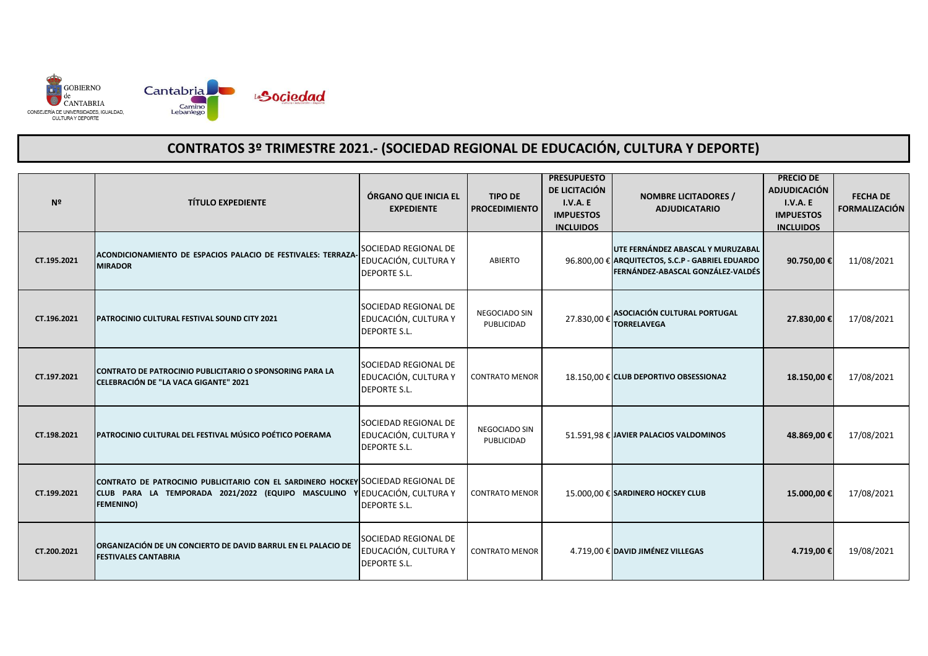

| Nº          | <b>TÍTULO EXPEDIENTE</b>                                                                                                                                                         | ÓRGANO QUE INICIA EL<br><b>EXPEDIENTE</b>                                  | <b>TIPO DE</b><br><b>PROCEDIMIENTO</b> | <b>PRESUPUESTO</b><br>DE LICITACIÓN<br>I.V.A.E<br><b>IMPUESTOS</b><br><b>INCLUIDOS</b> | <b>NOMBRE LICITADORES /</b><br><b>ADJUDICATARIO</b>                                                                        | <b>PRECIO DE</b><br><b>ADJUDICACIÓN</b><br>I.V.A. E<br><b>IMPUESTOS</b><br><b>INCLUIDOS</b> | <b>FECHA DE</b><br><b>FORMALIZACIÓN</b> |
|-------------|----------------------------------------------------------------------------------------------------------------------------------------------------------------------------------|----------------------------------------------------------------------------|----------------------------------------|----------------------------------------------------------------------------------------|----------------------------------------------------------------------------------------------------------------------------|---------------------------------------------------------------------------------------------|-----------------------------------------|
| CT.195.2021 | ACONDICIONAMIENTO DE ESPACIOS PALACIO DE FESTIVALES: TERRAZA<br><b>MIRADOR</b>                                                                                                   | SOCIEDAD REGIONAL DE<br>EDUCACIÓN, CULTURA Y<br><b>DEPORTE S.L.</b>        | <b>ABIERTO</b>                         |                                                                                        | UTE FERNÁNDEZ ABASCAL Y MURUZABAL<br>96.800,00 € ARQUITECTOS, S.C.P - GABRIEL EDUARDO<br>FERNÁNDEZ-ABASCAL GONZÁLEZ-VALDÉS | 90.750,00€                                                                                  | 11/08/2021                              |
| CT.196.2021 | <b>PATROCINIO CULTURAL FESTIVAL SOUND CITY 2021</b>                                                                                                                              | <b>SOCIEDAD REGIONAL DE</b><br>EDUCACIÓN, CULTURA Y<br><b>DEPORTE S.L.</b> | NEGOCIADO SIN<br>PUBLICIDAD            | 27.830,00€                                                                             | ASOCIACIÓN CULTURAL PORTUGAL<br><b>TORRELAVEGA</b>                                                                         | 27.830,00 €                                                                                 | 17/08/2021                              |
| CT.197.2021 | CONTRATO DE PATROCINIO PUBLICITARIO O SPONSORING PARA LA<br>CELEBRACIÓN DE "LA VACA GIGANTE" 2021                                                                                | SOCIEDAD REGIONAL DE<br>EDUCACIÓN, CULTURA Y<br><b>DEPORTE S.L.</b>        | <b>CONTRATO MENOR</b>                  |                                                                                        | 18.150,00 € CLUB DEPORTIVO OBSESSIONA2                                                                                     | 18.150,00€                                                                                  | 17/08/2021                              |
| CT.198.2021 | PATROCINIO CULTURAL DEL FESTIVAL MÚSICO POÉTICO POERAMA                                                                                                                          | SOCIEDAD REGIONAL DE<br>EDUCACIÓN, CULTURA Y<br><b>DEPORTE S.L.</b>        | NEGOCIADO SIN<br>PUBLICIDAD            |                                                                                        | 51.591,98 € JAVIER PALACIOS VALDOMINOS                                                                                     | 48.869,00€                                                                                  | 17/08/2021                              |
| CT.199.2021 | CONTRATO DE PATROCINIO PUBLICITARIO CON EL SARDINERO HOCKEY SOCIEDAD REGIONAL DE<br>CLUB PARA LA TEMPORADA 2021/2022 (EQUIPO MASCULINO YEDUCACIÓN, CULTURA Y<br><b>FEMENINO)</b> | <b>DEPORTE S.L.</b>                                                        | <b>CONTRATO MENOR</b>                  |                                                                                        | 15.000,00 € SARDINERO HOCKEY CLUB                                                                                          | 15.000,00€                                                                                  | 17/08/2021                              |
| CT.200.2021 | ORGANIZACIÓN DE UN CONCIERTO DE DAVID BARRUL EN EL PALACIO DE<br><b>FESTIVALES CANTABRIA</b>                                                                                     | SOCIEDAD REGIONAL DE<br>EDUCACIÓN, CULTURA Y<br><b>DEPORTE S.L.</b>        | <b>CONTRATO MENOR</b>                  |                                                                                        | 4.719,00 € DAVID JIMÉNEZ VILLEGAS                                                                                          | 4.719,00€                                                                                   | 19/08/2021                              |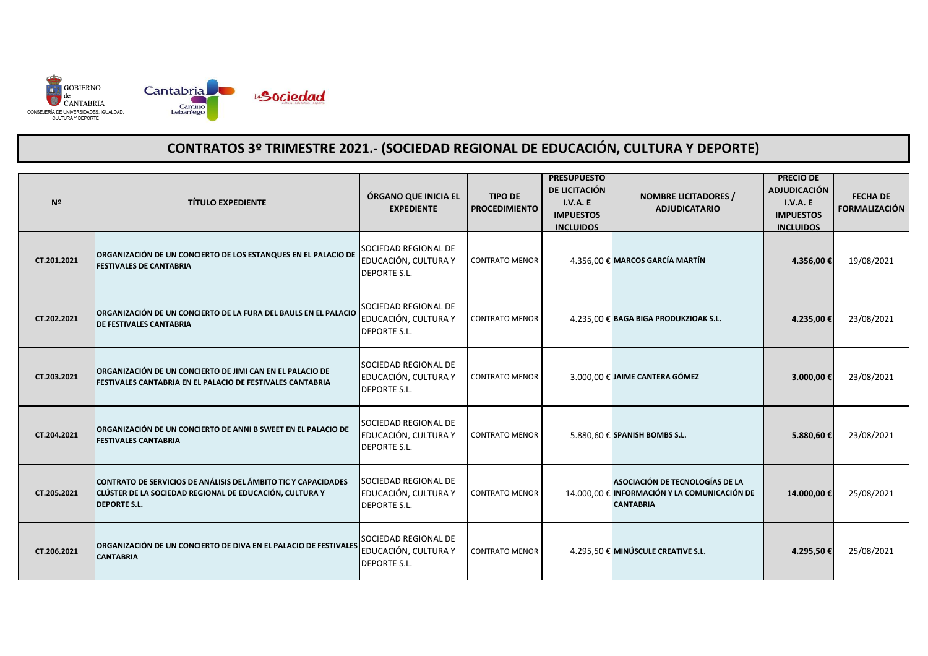

| Nº          | <b>TÍTULO EXPEDIENTE</b>                                                                                                                         | ÓRGANO QUE INICIA EL<br><b>EXPEDIENTE</b>                           | <b>TIPO DE</b><br><b>PROCEDIMIENTO</b> | <b>PRESUPUESTO</b><br>DE LICITACIÓN<br><b>I.V.A. E</b><br><b>IMPUESTOS</b><br><b>INCLUIDOS</b> | <b>NOMBRE LICITADORES /</b><br><b>ADJUDICATARIO</b>                                                 | <b>PRECIO DE</b><br><b>ADJUDICACIÓN</b><br>I.V.A. E<br><b>IMPUESTOS</b><br><b>INCLUIDOS</b> | <b>FECHA DE</b><br><b>FORMALIZACIÓN</b> |
|-------------|--------------------------------------------------------------------------------------------------------------------------------------------------|---------------------------------------------------------------------|----------------------------------------|------------------------------------------------------------------------------------------------|-----------------------------------------------------------------------------------------------------|---------------------------------------------------------------------------------------------|-----------------------------------------|
| CT.201.2021 | ORGANIZACIÓN DE UN CONCIERTO DE LOS ESTANQUES EN EL PALACIO DE<br><b>FESTIVALES DE CANTABRIA</b>                                                 | SOCIEDAD REGIONAL DE<br>EDUCACIÓN, CULTURA Y<br><b>DEPORTE S.L.</b> | <b>CONTRATO MENOR</b>                  |                                                                                                | 4.356,00 € MARCOS GARCÍA MARTÍN                                                                     | 4.356,00€                                                                                   | 19/08/2021                              |
| CT.202.2021 | ORGANIZACIÓN DE UN CONCIERTO DE LA FURA DEL BAULS EN EL PALACIO<br>DE FESTIVALES CANTABRIA                                                       | SOCIEDAD REGIONAL DE<br>EDUCACIÓN, CULTURA Y<br><b>DEPORTE S.L.</b> | <b>CONTRATO MENOR</b>                  |                                                                                                | 4.235,00 € BAGA BIGA PRODUKZIOAK S.L.                                                               | 4.235,00€                                                                                   | 23/08/2021                              |
| CT.203.2021 | ORGANIZACIÓN DE UN CONCIERTO DE JIMI CAN EN EL PALACIO DE<br>FESTIVALES CANTABRIA EN EL PALACIO DE FESTIVALES CANTABRIA                          | SOCIEDAD REGIONAL DE<br>EDUCACIÓN, CULTURA Y<br><b>DEPORTE S.L.</b> | <b>CONTRATO MENOR</b>                  |                                                                                                | 3.000,00 € JAIME CANTERA GÓMEZ                                                                      | 3.000,00€                                                                                   | 23/08/2021                              |
| CT.204.2021 | ORGANIZACIÓN DE UN CONCIERTO DE ANNI B SWEET EN EL PALACIO DE<br><b>FESTIVALES CANTABRIA</b>                                                     | SOCIEDAD REGIONAL DE<br>EDUCACIÓN, CULTURA Y<br><b>DEPORTE S.L.</b> | <b>CONTRATO MENOR</b>                  |                                                                                                | 5.880,60 € SPANISH BOMBS S.L.                                                                       | 5.880,60€                                                                                   | 23/08/2021                              |
| CT.205.2021 | CONTRATO DE SERVICIOS DE ANÁLISIS DEL ÁMBITO TIC Y CAPACIDADES<br>CLÚSTER DE LA SOCIEDAD REGIONAL DE EDUCACIÓN, CULTURA Y<br><b>DEPORTE S.L.</b> | SOCIEDAD REGIONAL DE<br>EDUCACIÓN, CULTURA Y<br><b>DEPORTE S.L.</b> | <b>CONTRATO MENOR</b>                  |                                                                                                | ASOCIACIÓN DE TECNOLOGÍAS DE LA<br>14.000.00 € INFORMACIÓN Y LA COMUNICACIÓN DE<br><b>CANTABRIA</b> | 14.000,00€                                                                                  | 25/08/2021                              |
| CT.206.2021 | ORGANIZACIÓN DE UN CONCIERTO DE DIVA EN EL PALACIO DE FESTIVALES<br><b>CANTABRIA</b>                                                             | SOCIEDAD REGIONAL DE<br>EDUCACIÓN, CULTURA Y<br><b>DEPORTE S.L.</b> | <b>CONTRATO MENOR</b>                  |                                                                                                | 4.295,50 € MINÚSCULE CREATIVE S.L.                                                                  | 4.295,50€                                                                                   | 25/08/2021                              |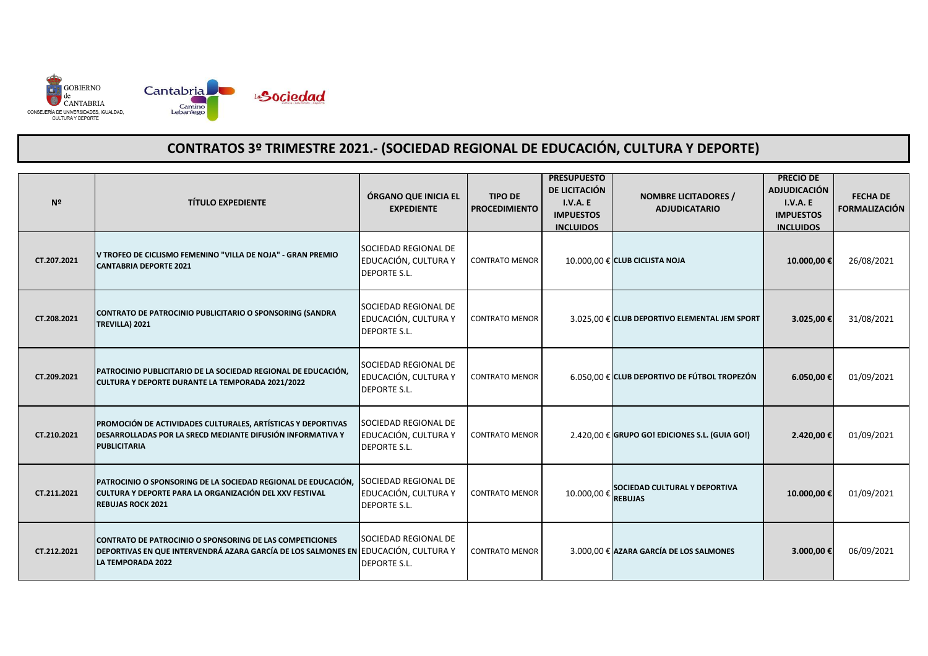

| Nº          | <b>TÍTULO EXPEDIENTE</b>                                                                                                                                                   | ÓRGANO QUE INICIA EL<br><b>EXPEDIENTE</b>                           | <b>TIPO DE</b><br><b>PROCEDIMIENTO</b> | <b>PRESUPUESTO</b><br>DE LICITACIÓN<br><b>I.V.A. E</b><br><b>IMPUESTOS</b><br><b>INCLUIDOS</b> | <b>NOMBRE LICITADORES /</b><br><b>ADJUDICATARIO</b> | <b>PRECIO DE</b><br><b>ADJUDICACIÓN</b><br><b>I.V.A. E</b><br><b>IMPUESTOS</b><br><b>INCLUIDOS</b> | <b>FECHA DE</b><br><b>FORMALIZACIÓN</b> |
|-------------|----------------------------------------------------------------------------------------------------------------------------------------------------------------------------|---------------------------------------------------------------------|----------------------------------------|------------------------------------------------------------------------------------------------|-----------------------------------------------------|----------------------------------------------------------------------------------------------------|-----------------------------------------|
| CT.207.2021 | V TROFEO DE CICLISMO FEMENINO "VILLA DE NOJA" - GRAN PREMIO<br><b>CANTABRIA DEPORTE 2021</b>                                                                               | SOCIEDAD REGIONAL DE<br>EDUCACIÓN, CULTURA Y<br><b>DEPORTE S.L.</b> | <b>CONTRATO MENOR</b>                  |                                                                                                | 10.000,00 € CLUB CICLISTA NOJA                      | 10.000,00€                                                                                         | 26/08/2021                              |
| CT.208.2021 | CONTRATO DE PATROCINIO PUBLICITARIO O SPONSORING (SANDRA<br>TREVILLA) 2021                                                                                                 | SOCIEDAD REGIONAL DE<br>EDUCACIÓN, CULTURA Y<br><b>DEPORTE S.L.</b> | <b>CONTRATO MENOR</b>                  |                                                                                                | 3.025,00 € CLUB DEPORTIVO ELEMENTAL JEM SPORT       | 3.025,00€                                                                                          | 31/08/2021                              |
| CT.209.2021 | PATROCINIO PUBLICITARIO DE LA SOCIEDAD REGIONAL DE EDUCACIÓN,<br>CULTURA Y DEPORTE DURANTE LA TEMPORADA 2021/2022                                                          | SOCIEDAD REGIONAL DE<br>EDUCACIÓN, CULTURA Y<br><b>DEPORTE S.L.</b> | <b>CONTRATO MENOR</b>                  |                                                                                                | 6.050,00 € CLUB DEPORTIVO DE FÚTBOL TROPEZÓN        | 6.050,00€                                                                                          | 01/09/2021                              |
| CT.210.2021 | PROMOCIÓN DE ACTIVIDADES CULTURALES, ARTÍSTICAS Y DEPORTIVAS<br>DESARROLLADAS POR LA SRECD MEDIANTE DIFUSIÓN INFORMATIVA Y<br><b>PUBLICITARIA</b>                          | SOCIEDAD REGIONAL DE<br>EDUCACIÓN, CULTURA Y<br><b>DEPORTE S.L.</b> | <b>CONTRATO MENOR</b>                  |                                                                                                | $2.420,00 \in$ GRUPO GO! EDICIONES S.L. (GUIA GO!)  | 2.420,00€                                                                                          | 01/09/2021                              |
| CT.211.2021 | PATROCINIO O SPONSORING DE LA SOCIEDAD REGIONAL DE EDUCACIÓN,<br>CULTURA Y DEPORTE PARA LA ORGANIZACIÓN DEL XXV FESTIVAL<br><b>REBUJAS ROCK 2021</b>                       | SOCIEDAD REGIONAL DE<br>EDUCACIÓN, CULTURA Y<br><b>DEPORTE S.L.</b> | <b>CONTRATO MENOR</b>                  | 10.000,00€                                                                                     | SOCIEDAD CULTURAL Y DEPORTIVA<br><b>REBUJAS</b>     | 10.000,00€                                                                                         | 01/09/2021                              |
| CT.212.2021 | CONTRATO DE PATROCINIO O SPONSORING DE LAS COMPETICIONES<br>DEPORTIVAS EN QUE INTERVENDRÁ AZARA GARCÍA DE LOS SALMONES EN EDUCACIÓN, CULTURA Y<br><b>LA TEMPORADA 2022</b> | SOCIEDAD REGIONAL DE<br><b>DEPORTE S.L.</b>                         | <b>CONTRATO MENOR</b>                  |                                                                                                | 3.000,00 € AZARA GARCÍA DE LOS SALMONES             | 3.000,00€                                                                                          | 06/09/2021                              |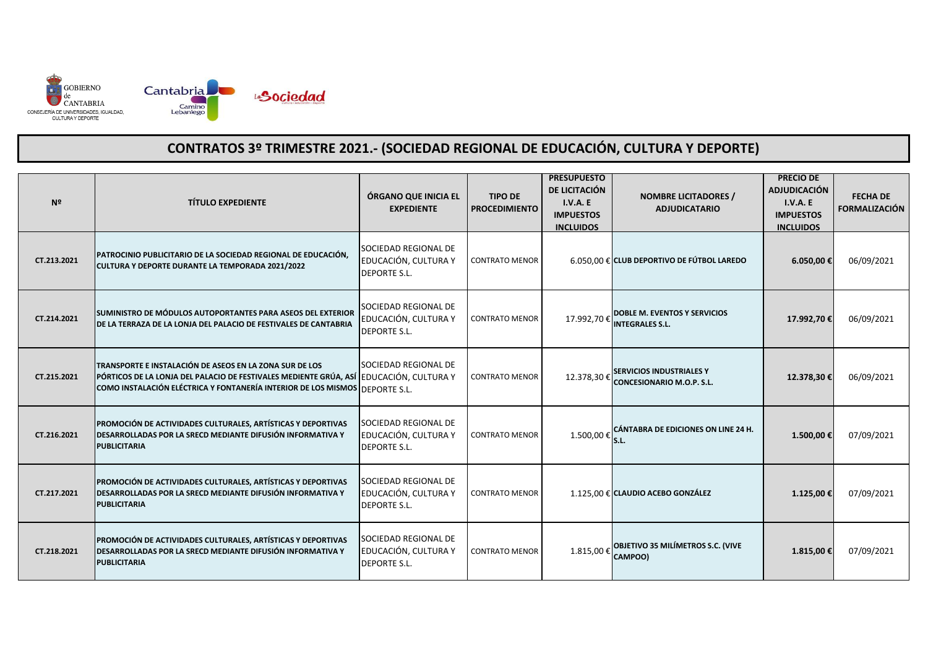

| Nº          | <b>TÍTULO EXPEDIENTE</b>                                                                                                                                                                                    | ÓRGANO QUE INICIA EL<br><b>EXPEDIENTE</b>                           | <b>TIPO DE</b><br><b>PROCEDIMIENTO</b> | <b>PRESUPUESTO</b><br>DE LICITACIÓN<br><b>I.V.A. E</b><br><b>IMPUESTOS</b><br><b>INCLUIDOS</b> | <b>NOMBRE LICITADORES /</b><br><b>ADJUDICATARIO</b>                 | <b>PRECIO DE</b><br><b>ADJUDICACIÓN</b><br>I.V.A. E<br><b>IMPUESTOS</b><br><b>INCLUIDOS</b> | <b>FECHA DE</b><br><b>FORMALIZACIÓN</b> |
|-------------|-------------------------------------------------------------------------------------------------------------------------------------------------------------------------------------------------------------|---------------------------------------------------------------------|----------------------------------------|------------------------------------------------------------------------------------------------|---------------------------------------------------------------------|---------------------------------------------------------------------------------------------|-----------------------------------------|
| CT.213.2021 | PATROCINIO PUBLICITARIO DE LA SOCIEDAD REGIONAL DE EDUCACIÓN,<br>CULTURA Y DEPORTE DURANTE LA TEMPORADA 2021/2022                                                                                           | SOCIEDAD REGIONAL DE<br>EDUCACIÓN, CULTURA Y<br><b>DEPORTE S.L.</b> | <b>CONTRATO MENOR</b>                  |                                                                                                | 6.050,00 € CLUB DEPORTIVO DE FÚTBOL LAREDO                          | 6.050,00€                                                                                   | 06/09/2021                              |
| CT.214.2021 | SUMINISTRO DE MÓDULOS AUTOPORTANTES PARA ASEOS DEL EXTERIOR<br>DE LA TERRAZA DE LA LONJA DEL PALACIO DE FESTIVALES DE CANTABRIA                                                                             | SOCIEDAD REGIONAL DE<br>EDUCACIÓN, CULTURA Y<br><b>DEPORTE S.L.</b> | <b>CONTRATO MENOR</b>                  | 17.992,70€                                                                                     | DOBLE M. EVENTOS Y SERVICIOS<br><b>INTEGRALES S.L.</b>              | 17.992,70€                                                                                  | 06/09/2021                              |
| CT.215.2021 | TRANSPORTE E INSTALACIÓN DE ASEOS EN LA ZONA SUR DE LOS<br>PÓRTICOS DE LA LONJA DEL PALACIO DE FESTIVALES MEDIENTE GRÚA, ASÍ<br>COMO INSTALACIÓN ELÉCTRICA Y FONTANERÍA INTERIOR DE LOS MISMOS DEPORTE S.L. | SOCIEDAD REGIONAL DE<br>EDUCACIÓN, CULTURA Y                        | <b>CONTRATO MENOR</b>                  | 12.378,30€                                                                                     | <b>SERVICIOS INDUSTRIALES Y</b><br><b>CONCESIONARIO M.O.P. S.L.</b> | 12.378,30€                                                                                  | 06/09/2021                              |
| CT.216.2021 | PROMOCIÓN DE ACTIVIDADES CULTURALES, ARTÍSTICAS Y DEPORTIVAS<br>DESARROLLADAS POR LA SRECD MEDIANTE DIFUSIÓN INFORMATIVA Y<br><b>PUBLICITARIA</b>                                                           | SOCIEDAD REGIONAL DE<br>EDUCACIÓN, CULTURA Y<br><b>DEPORTE S.L.</b> | <b>CONTRATO MENOR</b>                  | 1.500,00€                                                                                      | CÁNTABRA DE EDICIONES ON LINE 24 H.<br>lS.L.                        | 1.500,00 €                                                                                  | 07/09/2021                              |
| CT.217.2021 | PROMOCIÓN DE ACTIVIDADES CULTURALES, ARTÍSTICAS Y DEPORTIVAS<br>DESARROLLADAS POR LA SRECD MEDIANTE DIFUSIÓN INFORMATIVA Y<br><b>PUBLICITARIA</b>                                                           | SOCIEDAD REGIONAL DE<br>EDUCACIÓN, CULTURA Y<br><b>DEPORTE S.L.</b> | <b>CONTRATO MENOR</b>                  |                                                                                                | 1.125,00 € CLAUDIO ACEBO GONZÁLEZ                                   | 1.125,00 €                                                                                  | 07/09/2021                              |
| CT.218.2021 | PROMOCIÓN DE ACTIVIDADES CULTURALES, ARTÍSTICAS Y DEPORTIVAS<br>DESARROLLADAS POR LA SRECD MEDIANTE DIFUSIÓN INFORMATIVA Y<br><b>PUBLICITARIA</b>                                                           | SOCIEDAD REGIONAL DE<br>EDUCACIÓN, CULTURA Y<br><b>DEPORTE S.L.</b> | <b>CONTRATO MENOR</b>                  | 1.815,00 €                                                                                     | <b>OBJETIVO 35 MILÍMETROS S.C. (VIVE</b><br>CAMPOO)                 | 1.815,00€                                                                                   | 07/09/2021                              |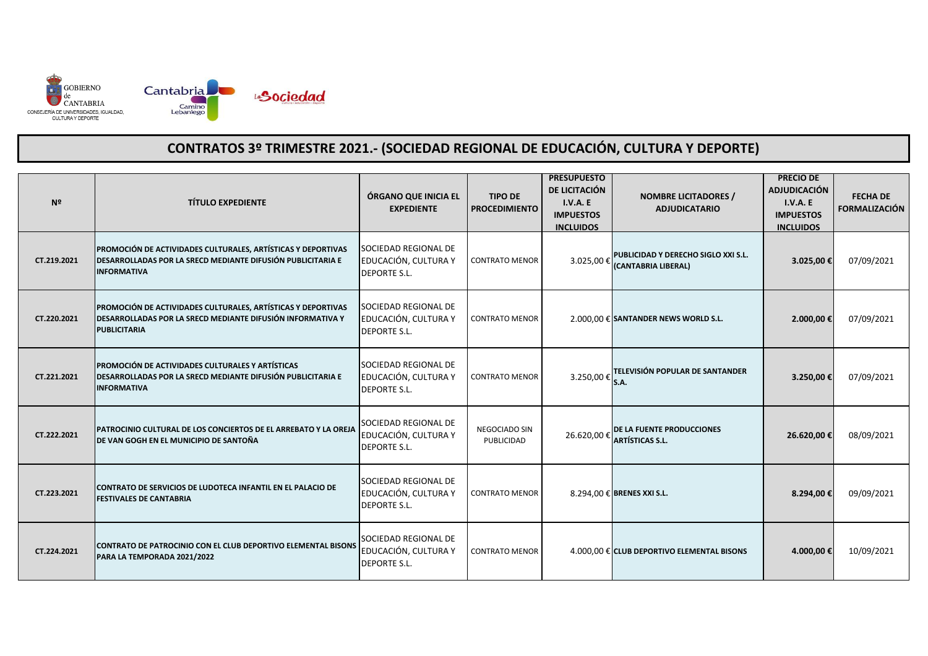

| N <sup>2</sup> | <b>TÍTULO EXPEDIENTE</b>                                                                                                                          | ÓRGANO QUE INICIA EL<br><b>EXPEDIENTE</b>                           | <b>TIPO DE</b><br><b>PROCEDIMIENTO</b> | <b>PRESUPUESTO</b><br>DE LICITACIÓN<br><b>I.V.A. E</b><br><b>IMPUESTOS</b><br><b>INCLUIDOS</b> | <b>NOMBRE LICITADORES /</b><br><b>ADJUDICATARIO</b>        | <b>PRECIO DE</b><br><b>ADJUDICACIÓN</b><br>I.V.A. E<br><b>IMPUESTOS</b><br><b>INCLUIDOS</b> | <b>FECHA DE</b><br><b>FORMALIZACIÓN</b> |
|----------------|---------------------------------------------------------------------------------------------------------------------------------------------------|---------------------------------------------------------------------|----------------------------------------|------------------------------------------------------------------------------------------------|------------------------------------------------------------|---------------------------------------------------------------------------------------------|-----------------------------------------|
| CT.219.2021    | PROMOCIÓN DE ACTIVIDADES CULTURALES, ARTÍSTICAS Y DEPORTIVAS<br>DESARROLLADAS POR LA SRECD MEDIANTE DIFUSIÓN PUBLICITARIA E<br><b>INFORMATIVA</b> | SOCIEDAD REGIONAL DE<br>EDUCACIÓN, CULTURA Y<br><b>DEPORTE S.L.</b> | <b>CONTRATO MENOR</b>                  | 3.025,00€                                                                                      | PUBLICIDAD Y DERECHO SIGLO XXI S.L.<br>(CANTABRIA LIBERAL) | 3.025,00€                                                                                   | 07/09/2021                              |
| CT.220.2021    | PROMOCIÓN DE ACTIVIDADES CULTURALES, ARTÍSTICAS Y DEPORTIVAS<br>DESARROLLADAS POR LA SRECD MEDIANTE DIFUSIÓN INFORMATIVA Y<br><b>PUBLICITARIA</b> | SOCIEDAD REGIONAL DE<br>EDUCACIÓN, CULTURA Y<br><b>DEPORTE S.L.</b> | <b>CONTRATO MENOR</b>                  |                                                                                                | 2.000,00 € SANTANDER NEWS WORLD S.L.                       | 2.000,00€                                                                                   | 07/09/2021                              |
| CT.221.2021    | PROMOCIÓN DE ACTIVIDADES CULTURALES Y ARTÍSTICAS<br>DESARROLLADAS POR LA SRECD MEDIANTE DIFUSIÓN PUBLICITARIA E<br><b>INFORMATIVA</b>             | SOCIEDAD REGIONAL DE<br>EDUCACIÓN, CULTURA Y<br><b>DEPORTE S.L.</b> | <b>CONTRATO MENOR</b>                  | 3.250,00€                                                                                      | TELEVISIÓN POPULAR DE SANTANDER<br>S.A.                    | 3.250,00€                                                                                   | 07/09/2021                              |
| CT.222.2021    | PATROCINIO CULTURAL DE LOS CONCIERTOS DE EL ARREBATO Y LA OREJA<br>DE VAN GOGH EN EL MUNICIPIO DE SANTOÑA                                         | SOCIEDAD REGIONAL DE<br>EDUCACIÓN, CULTURA Y<br><b>DEPORTE S.L.</b> | NEGOCIADO SIN<br>PUBLICIDAD            | 26.620,00€                                                                                     | DE LA FUENTE PRODUCCIONES<br><b>ARTÍSTICAS S.L.</b>        | 26.620,00€                                                                                  | 08/09/2021                              |
| CT.223.2021    | CONTRATO DE SERVICIOS DE LUDOTECA INFANTIL EN EL PALACIO DE<br><b>FESTIVALES DE CANTABRIA</b>                                                     | SOCIEDAD REGIONAL DE<br>EDUCACIÓN, CULTURA Y<br><b>DEPORTE S.L.</b> | <b>CONTRATO MENOR</b>                  |                                                                                                | 8.294,00 € BRENES XXI S.L.                                 | 8.294,00€                                                                                   | 09/09/2021                              |
| CT.224.2021    | CONTRATO DE PATROCINIO CON EL CLUB DEPORTIVO ELEMENTAL BISONS<br>PARA LA TEMPORADA 2021/2022                                                      | SOCIEDAD REGIONAL DE<br>EDUCACIÓN, CULTURA Y<br><b>DEPORTE S.L.</b> | <b>CONTRATO MENOR</b>                  |                                                                                                | 4.000,00 € CLUB DEPORTIVO ELEMENTAL BISONS                 | 4.000,00€                                                                                   | 10/09/2021                              |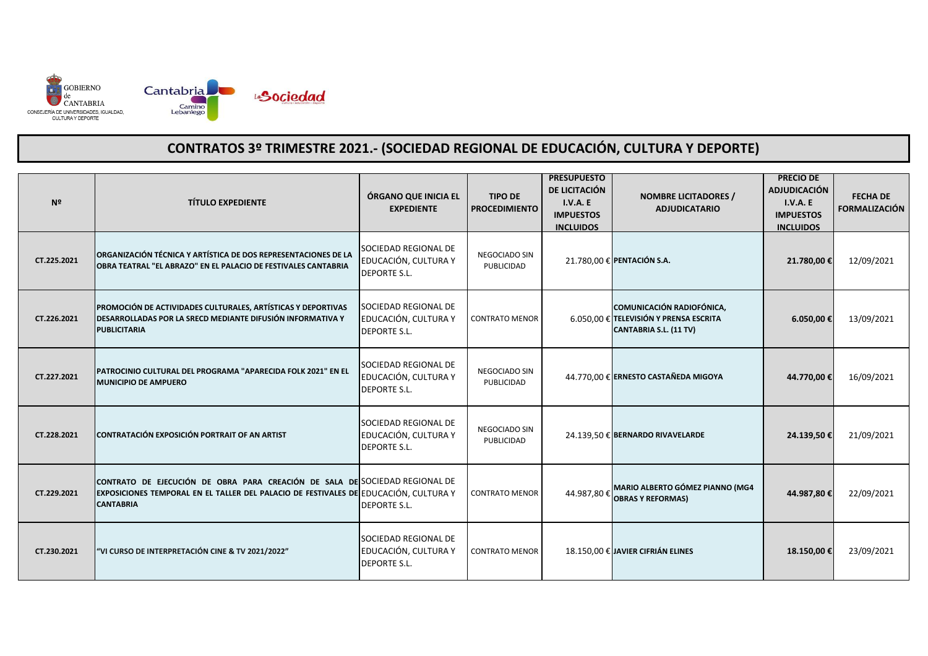

| N <sup>2</sup> | <b>TÍTULO EXPEDIENTE</b>                                                                                                                                                                | ÓRGANO QUE INICIA EL<br><b>EXPEDIENTE</b>                           | <b>TIPO DE</b><br><b>PROCEDIMIENTO</b> | <b>PRESUPUESTO</b><br>DE LICITACIÓN<br><b>I.V.A. E</b><br><b>IMPUESTOS</b><br><b>INCLUIDOS</b> | <b>NOMBRE LICITADORES /</b><br><b>ADJUDICATARIO</b>                                                  | <b>PRECIO DE</b><br><b>ADJUDICACIÓN</b><br><b>I.V.A. E</b><br><b>IMPUESTOS</b><br><b>INCLUIDOS</b> | <b>FECHA DE</b><br><b>FORMALIZACIÓN</b> |
|----------------|-----------------------------------------------------------------------------------------------------------------------------------------------------------------------------------------|---------------------------------------------------------------------|----------------------------------------|------------------------------------------------------------------------------------------------|------------------------------------------------------------------------------------------------------|----------------------------------------------------------------------------------------------------|-----------------------------------------|
| CT.225.2021    | ORGANIZACIÓN TÉCNICA Y ARTÍSTICA DE DOS REPRESENTACIONES DE LA<br>OBRA TEATRAL "EL ABRAZO" EN EL PALACIO DE FESTIVALES CANTABRIA                                                        | SOCIEDAD REGIONAL DE<br>EDUCACIÓN, CULTURA Y<br><b>DEPORTE S.L.</b> | NEGOCIADO SIN<br>PUBLICIDAD            |                                                                                                | 21.780.00 € PENTACIÓN S.A.                                                                           | 21.780,00€                                                                                         | 12/09/2021                              |
| CT.226.2021    | PROMOCIÓN DE ACTIVIDADES CULTURALES, ARTÍSTICAS Y DEPORTIVAS<br>DESARROLLADAS POR LA SRECD MEDIANTE DIFUSIÓN INFORMATIVA Y<br><b>PUBLICITARIA</b>                                       | SOCIEDAD REGIONAL DE<br>EDUCACIÓN, CULTURA Y<br><b>DEPORTE S.L.</b> | <b>CONTRATO MENOR</b>                  |                                                                                                | <b>COMUNICACIÓN RADIOFÓNICA,</b><br>6.050,00 € TELEVISIÓN Y PRENSA ESCRITA<br>CANTABRIA S.L. (11 TV) | 6.050,00€                                                                                          | 13/09/2021                              |
| CT.227.2021    | PATROCINIO CULTURAL DEL PROGRAMA "APARECIDA FOLK 2021" EN EL<br><b>MUNICIPIO DE AMPUERO</b>                                                                                             | SOCIEDAD REGIONAL DE<br>EDUCACIÓN, CULTURA Y<br><b>DEPORTE S.L.</b> | NEGOCIADO SIN<br>PUBLICIDAD            |                                                                                                | 44.770,00 € ERNESTO CASTAÑEDA MIGOYA                                                                 | 44.770,00€                                                                                         | 16/09/2021                              |
| CT.228.2021    | CONTRATACIÓN EXPOSICIÓN PORTRAIT OF AN ARTIST                                                                                                                                           | SOCIEDAD REGIONAL DE<br>EDUCACIÓN, CULTURA Y<br><b>DEPORTE S.L.</b> | NEGOCIADO SIN<br>PUBLICIDAD            |                                                                                                | 24.139,50 € BERNARDO RIVAVELARDE                                                                     | 24.139,50€                                                                                         | 21/09/2021                              |
| CT.229.2021    | CONTRATO DE EJECUCIÓN DE OBRA PARA CREACIÓN DE SALA DE SOCIEDAD REGIONAL DE<br>EXPOSICIONES TEMPORAL EN EL TALLER DEL PALACIO DE FESTIVALES DE EDUCACIÓN, CULTURA Y<br><b>CANTABRIA</b> | <b>DEPORTE S.L.</b>                                                 | <b>CONTRATO MENOR</b>                  | 44.987,80€                                                                                     | MARIO ALBERTO GÓMEZ PIANNO (MG4<br><b>OBRAS Y REFORMAS)</b>                                          | 44.987,80€                                                                                         | 22/09/2021                              |
| CT.230.2021    | "VI CURSO DE INTERPRETACIÓN CINE & TV 2021/2022"                                                                                                                                        | SOCIEDAD REGIONAL DE<br>EDUCACIÓN, CULTURA Y<br><b>DEPORTE S.L.</b> | <b>CONTRATO MENOR</b>                  |                                                                                                | 18.150,00 € JAVIER CIFRIÁN ELINES                                                                    | 18.150,00€                                                                                         | 23/09/2021                              |